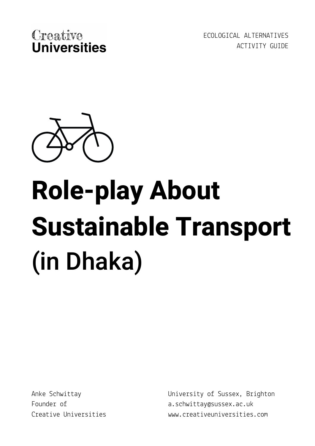

ECOLOGICAL ALTERNATIVES ACTIVITY GUIDE



# **Role-play About Sustainable Transport** (in Dhaka)

Anke Schwittay Founder of Creative Universities University of Sussex, Brighton a.schwittay@sussex.ac.uk www.creativeuniversities.com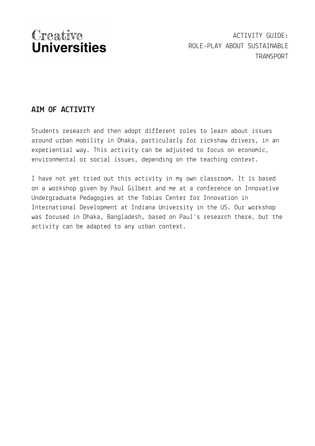ACTIVITY GUIDE: ROLE-PLAY ABOUT SUSTAINABLE TRANSPORT

### **AIM OF ACTIVITY**

Students research and then adopt different roles to learn about issues around urban mobility in Dhaka, particularly for rickshaw drivers, in an experiential way. This activity can be adjusted to focus on economic, environmental or social issues, depending on the teaching context.

I have not yet tried out this activity in my own classroom. It is based on a workshop given by Paul Gilbert and me at a conference on Innovative Undergraduate Pedagogies at the Tobias Center for Innovation in International Development at Indiana University in the US. Our workshop was focused in Dhaka, Bangladesh, based on Paul's research there, but the activity can be adapted to any urban context.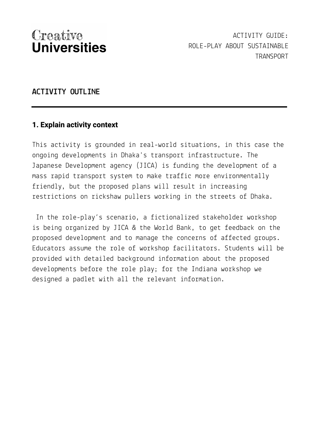#### **ACTIVITY OUTLINE**

#### **1. Explain activity context**

This activity is grounded in real-world situations, in this case the ongoing developments in Dhaka's transport infrastructure. The Japanese Development agency (JICA) is funding the development of a mass rapid transport system to make traffic more environmentally friendly, but the proposed plans will result in increasing restrictions on rickshaw pullers working in the streets of Dhaka.

In the role-play's scenario, a fictionalized stakeholder workshop is being organized by JICA & the World Bank, to get feedback on the proposed development and to manage the concerns of affected groups. Educators assume the role of workshop facilitators. Students will be provided with detailed background information about the proposed developments before the role play; for the Indiana workshop we designed a padlet with all the relevant [information](https://uofsussex.padlet.org/pg91/TobiasSchwittayGilbert).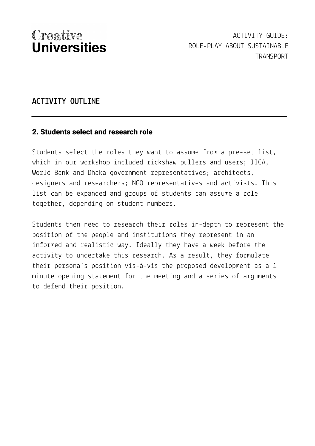#### **ACTIVITY OUTLINE**

#### **2. Students select and research role**

Students select the roles they want to assume from a pre-set list, which in our workshop included rickshaw pullers and users; JICA, World Bank and Dhaka government representatives; architects, designers and researchers; NGO representatives and activists. This list can be expanded and groups of students can assume a role together, depending on student numbers.

Students then need to research their roles in-depth to represent the position of the people and institutions they represent in an informed and realistic way. Ideally they have a week before the activity to undertake this research. As a result, they formulate their persona's position vis-à-vis the proposed development as a 1 minute opening statement for the meeting and a series of arguments to defend their position.